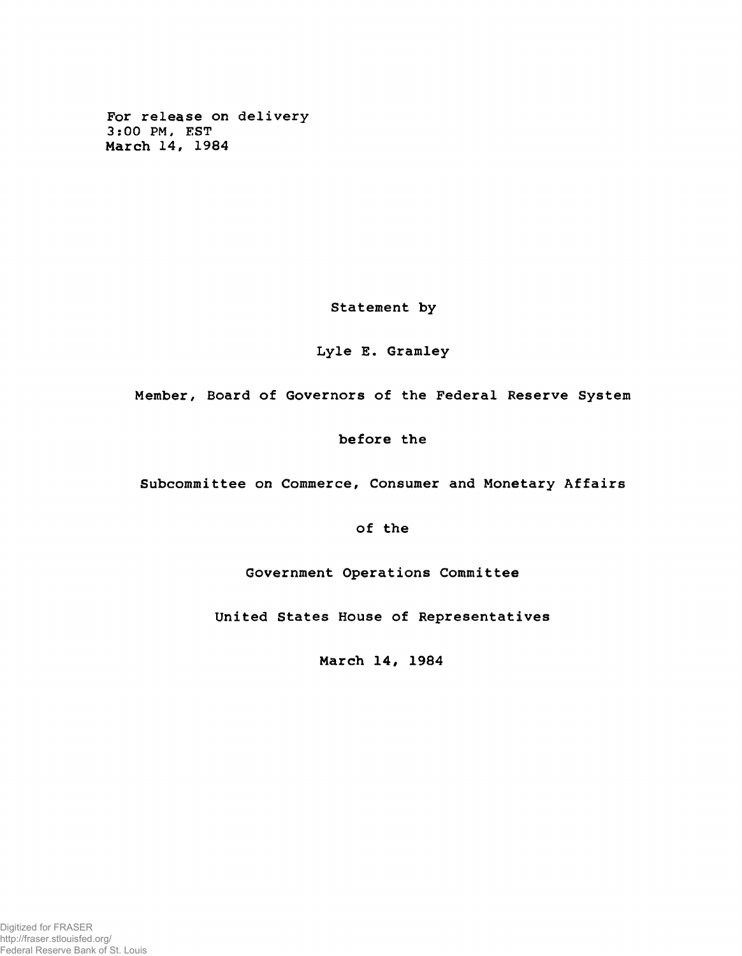**For release on delivery 3:00 PM, EST March 14, 1984**

**Statement by**

## **Lyle E. Gramley**

**Member, Board of Governors of the Federal Reserve System**

## **before the**

**Subcommittee on Commerce, Consumer and Monetary Affairs**

**of the**

**Government Operations Committee**

**United States House of Representatives**

**March 14, 1984**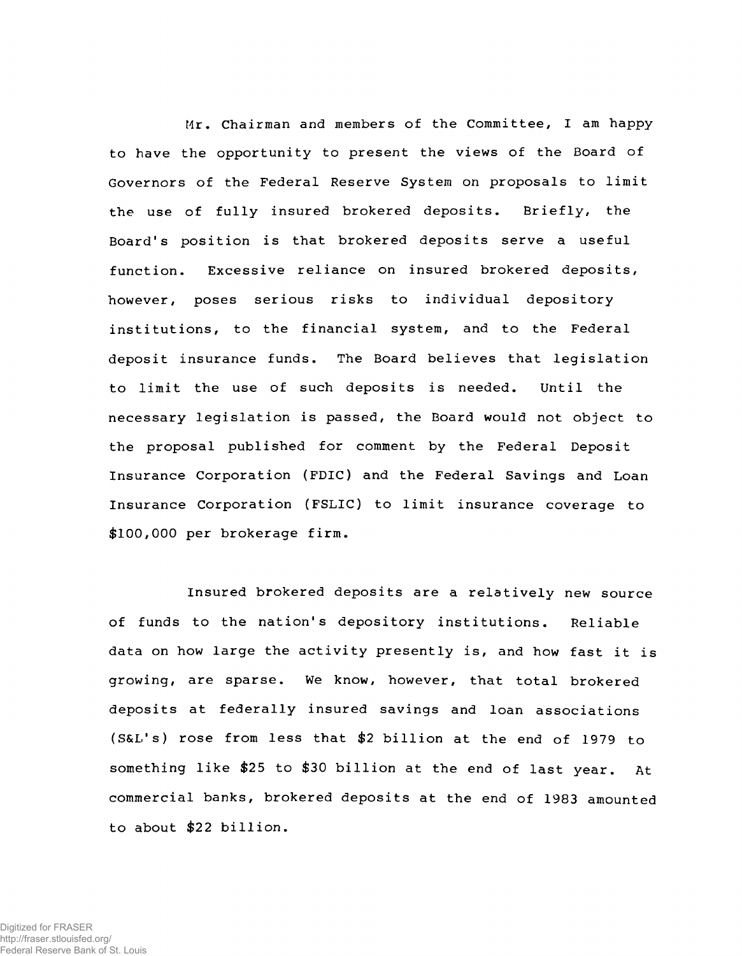**Mr. Chairman and members of the Committee, I am happy to have the opportunity to present the views of the Board of Governors of the Federal Reserve System on proposals to limit the use of fully insured brokered deposits. Briefly, the Board's position is that brokered deposits serve a useful function. Excessive reliance on insured brokered deposits, however, poses serious risks to individual depository institutions, to the financial system, and to the Federal deposit insurance funds. The Board believes that legislation to limit the use of such deposits is needed. Until the necessary legislation is passed, the Board would not object to the proposal published for comment by the Federal Deposit Insurance Corporation (FDIC) and the Federal Savings and Loan Insurance Corporation (FSLIC) to limit insurance coverage to \$100,000 per brokerage firm.**

**Insured brokered deposits are a relatively new source of funds to the nation's depository institutions. Reliable data on how large the activity presently is, and how fast it is growing, are sparse. We know, however, that total brokered deposits at federally insured savings and loan associations (S&L's) rose from less that \$2 billion at the end of 1979 to something like \$25 to \$30 billion at the end of last year. At commercial banks, brokered deposits at the end of 1983 amounted to about \$22 billion.**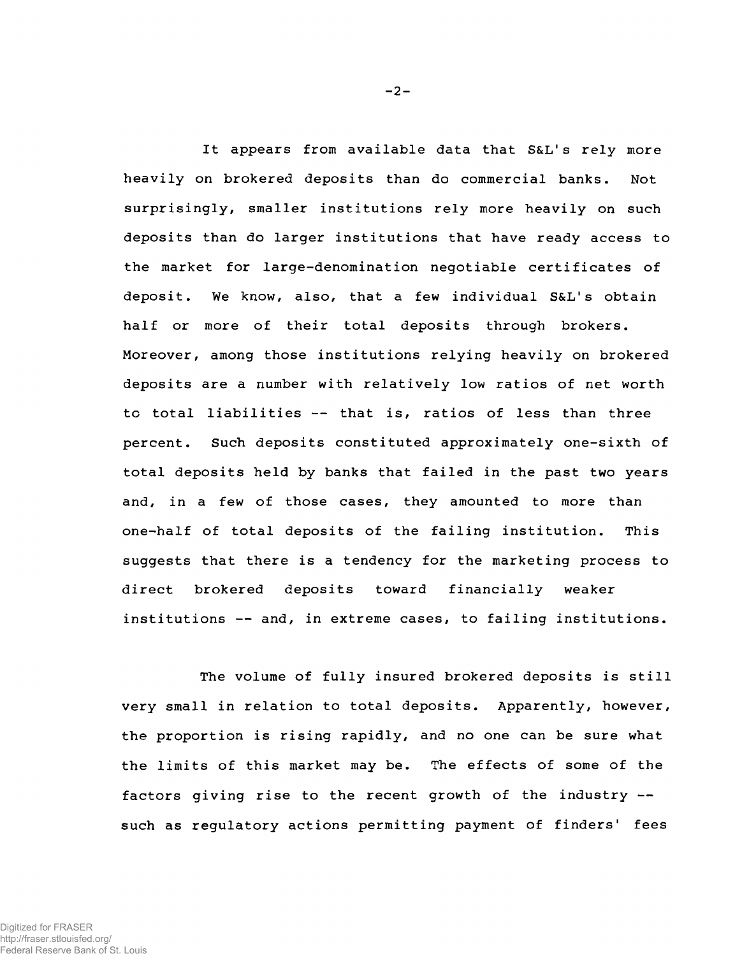**It appears from available data that S&L's rely more heavily on brokered deposits than do commercial banks. Not surprisingly, smaller institutions rely more heavily on such deposits than do larger institutions that have ready access to the market for large-denomination negotiable certificates of deposit. We know, also, that a few individual S&L's obtain half or more of their total deposits through brokers. Moreover, among those institutions relying heavily on brokered deposits are a number with relatively low ratios of net worth to total liabilities — that is, ratios of less than three percent. Such deposits constituted approximately one-sixth of total deposits held by banks that failed in the past two years and, in a few of those cases, they amounted to more than one-half of total deposits of the failing institution. This suggests that there is a tendency for the marketing process to direct brokered deposits toward financially weaker institutions — and, in extreme cases, to failing institutions.**

**The volume of fully insured brokered deposits is still very small in relation to total deposits. Apparently, however, the proportion is rising rapidly, and no one can be sure what the limits of this market may be. The effects of some of the factors giving rise to the recent growth of the industry such as regulatory actions permitting payment of finders' fees**

 $-2-$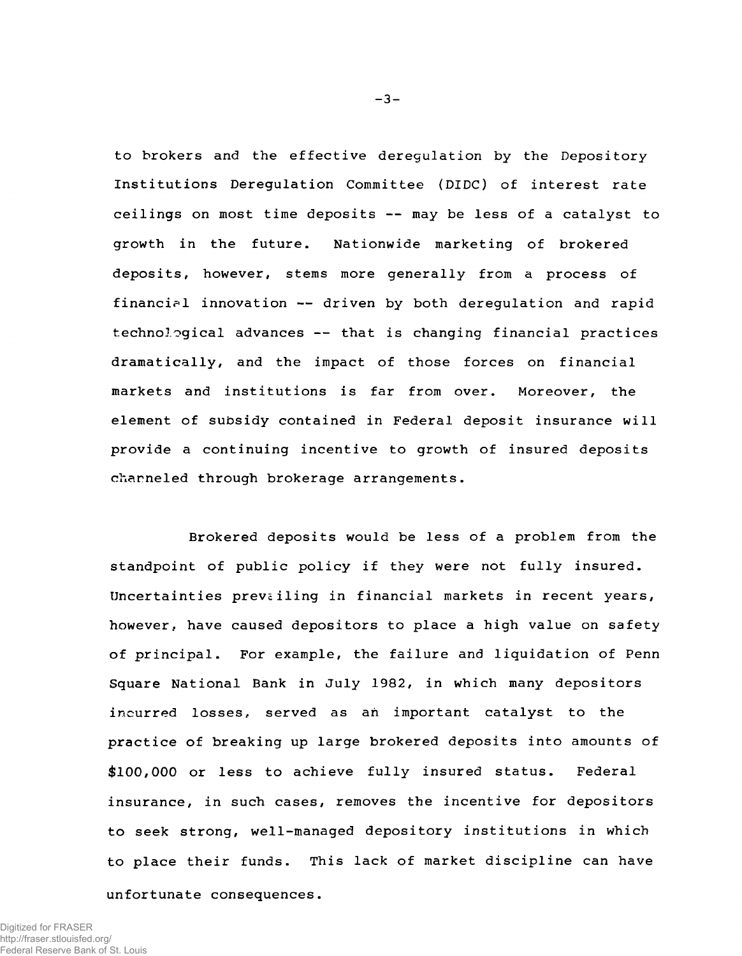**to brokers and the effective deregulation by the Depository Institutions Deregulation Committee (DIDC) of interest rate ceilings on most time deposits -- may be less of a catalyst to growth in the future. Nationwide marketing of brokered deposits, however, stems more generally from a process of financial innovation — driven by both deregulation and rapid technological advances -- that is changing financial practices dramatically, and the impact of those forces on financial markets and institutions is far from over. Moreover, the element of subsidy contained in Federal deposit insurance will provide a continuing incentive to growth of insured deposits channeled through brokerage arrangements.**

**Brokered deposits would be less of a problem from the standpoint of public policy if they were not fully insured.** Uncertainties prevailing in financial markets in recent years, **however, have caused depositors to place a high value on safety of principal. For example, the failure and liquidation of Penn Square National Bank in July 1982, in which many depositors incurred losses, served as ah important catalyst to the practice of breaking up large brokered deposits into amounts of \$100,000 or less to achieve fully insured status. Federal insurance, in such cases, removes the incentive for depositors to seek strong, well-managed depository institutions in which to place their funds. This lack of market discipline can have unfortunate consequences.**

Digitized for FRASER http://fraser.stlouisfed.org/ Federal Reserve Bank of St. Louis **-3-**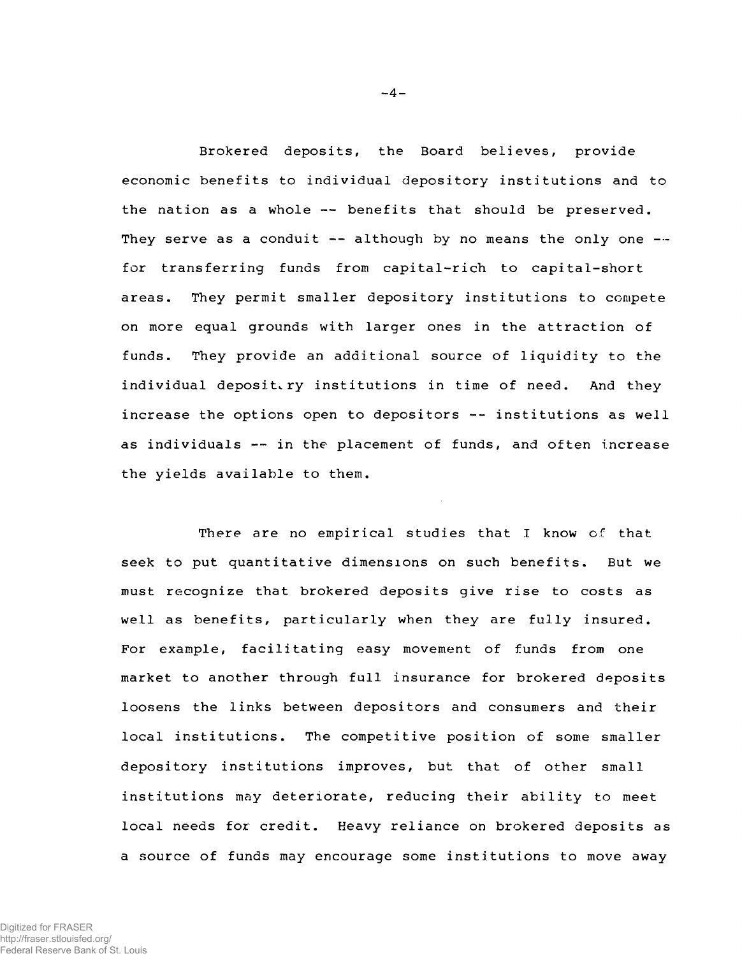**Brokered deposits, the Board believes, provide economic benefits to individual depository institutions and to the nation as a whole — benefits that should be preserved. They serve as a conduit — although by no means the only one for transferring funds from capital-rich to capital-short areas. They permit smaller depository institutions to compete on more equal grounds with larger ones in the attraction of funds. They provide an additional source of liquidity to the individual depositary institutions in time of need. And they increase the options open to depositors -- institutions as well as individuals — in the placement of funds, and often increase the yields available to them.**

**There are no empirical studies that I know of that seek to put quantitative dimensions on such benefits. But we must recognize that brokered deposits give rise to costs as well as benefits, particularly when they are fully insured. For example, facilitating easy movement of funds from one market to another through full insurance for brokered deposits loosens the links between depositors and consumers and their local institutions. The competitive position of some smaller depository institutions improves, but that of other small institutions may deteriorate, reducing their ability to meet local needs for credit. Heavy reliance on brokered deposits as a source of funds may encourage some institutions to move away**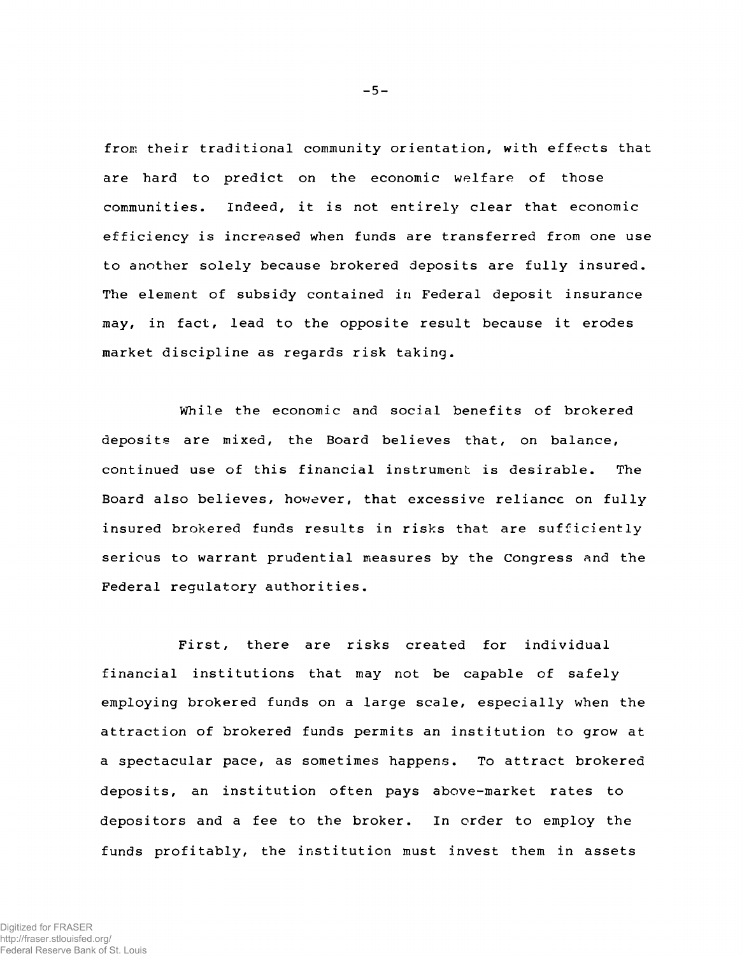from their traditional community orientation, with effects that **are hard to predict on the economic welfare of those communities. Indeed, it is not entirely clear that economic efficiency is increased when funds are transferred from one use to another solely because brokered deposits are fully insured. The element of subsidy contained in Federal deposit insurance may, in fact, lead to the opposite result because it erodes market discipline as regards risk taking.**

**While the economic and social benefits of brokered deposits are mixed, the Board believes that, on balance, continued use of this financial instrument is desirable. The Board also believes, however, that excessive reliance on fully insured brokered funds results in risks that are sufficiently serious to warrant prudential measures by the Congress and the Federal regulatory authorities.**

**First, there are risks created for individual financial institutions that may not be capable of safely employing brokered funds on a large scale, especially when the attraction of brokered funds permits an institution to grow at a spectacular pace, as sometimes happens. To attract brokered deposits, an institution often pays above-market rates to depositors and a fee to the broker. In order to employ the funds profitably, the institution must invest them in assets**

**-5-**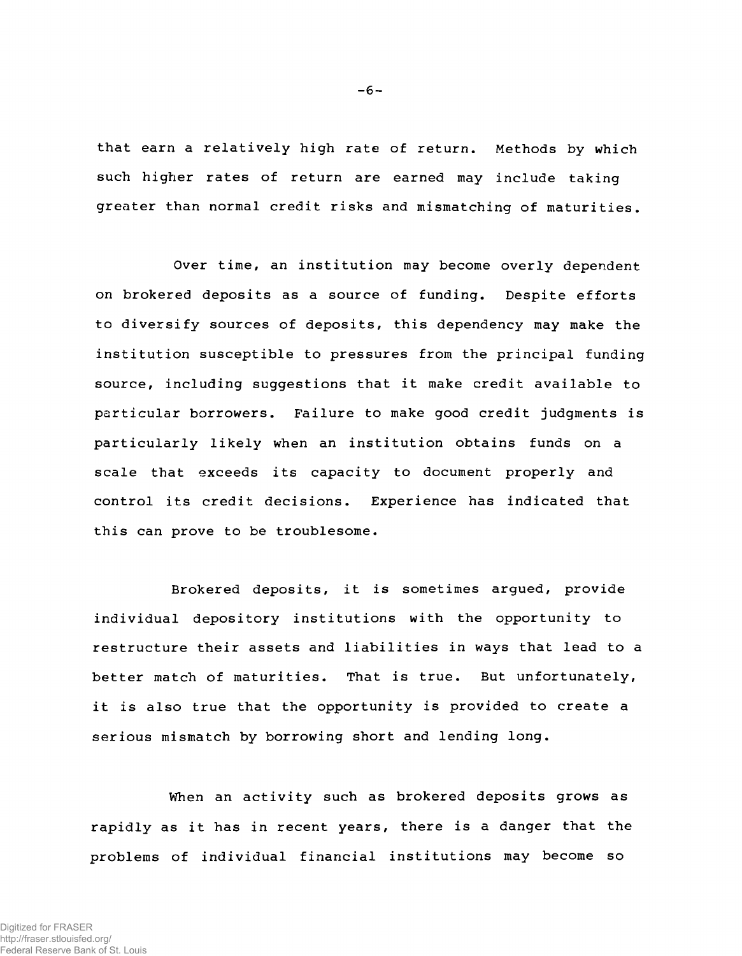**that earn a relatively high rate of return. Methods by which such higher rates of return are earned may include taking greater than normal credit risks and mismatching of maturities.**

**Over time, an institution may become overly dependent on brokered deposits as a source of funding. Despite efforts to diversify sources of deposits, this dependency may make the institution susceptible to pressures from the principal funding source, including suggestions that it make credit available to particular borrowers. Failure to make good credit judgments is particularly likely when an institution obtains funds on a scale that exceeds its capacity to document properly and control its credit decisions. Experience has indicated that this can prove to be troublesome.**

**Brokered deposits, it is sometimes argued, provide individual depository institutions with the opportunity to restructure their assets and liabilities in ways that lead to a better match of maturities. That is true. But unfortunately, it is also true that the opportunity is provided to create a serious mismatch by borrowing short and lending long.**

**When an activity such as brokered deposits grows as rapidly as it has in recent years, there is a danger that the problems of individual financial institutions may become so**

**-6-**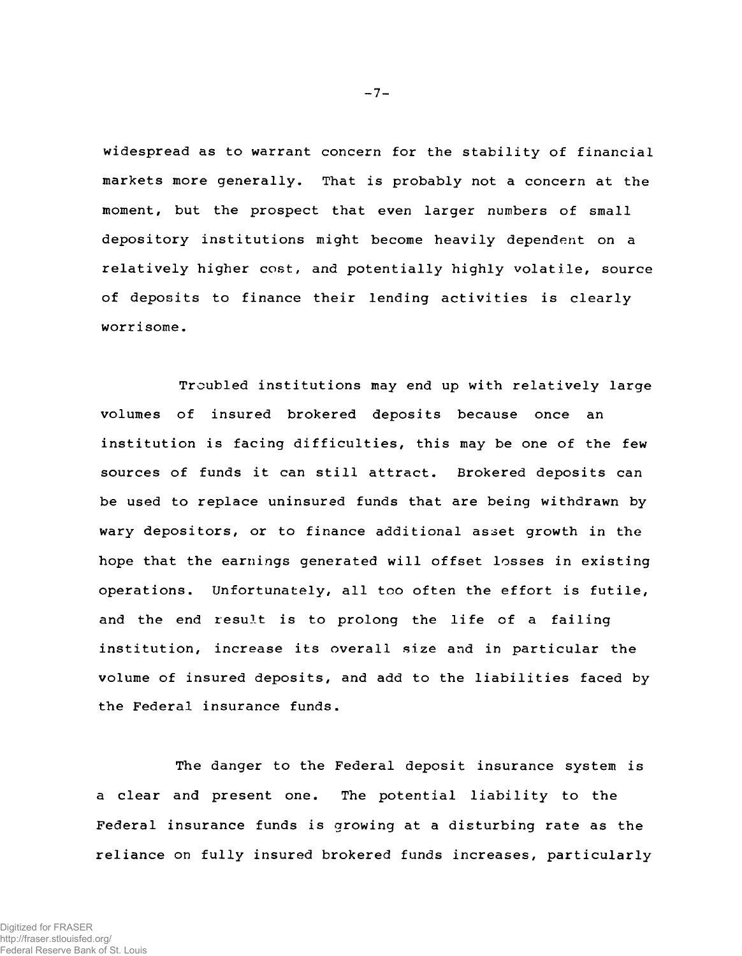**widespread as to warrant concern for the stability of financial markets more generally. That is probably not a concern at the moment, but the prospect that even larger numbers of small depository institutions might become heavily dependent on a relatively higher cost, and potentially highly volatile, source of deposits to finance their lending activities is clearly worrisome.**

**Troubled institutions may end up with relatively large volumes of insured brokered deposits because once an institution is facing difficulties, this may be one of the few sources of funds it can still attract. Brokered deposits can be used to replace uninsured funds that are being withdrawn by wary depositors, or to finance additional asset growth in the hope that the earnings generated will offset losses in existing operations. Unfortunately, all too often the effort is futile, and the end result is to prolong the life of a failing institution, increase its overall size and in particular the volume of insured deposits, and add to the liabilities faced by the Federal insurance funds.**

**The danger to the Federal deposit insurance system is a clear and present one. The potential liability to the Federal insurance funds is growing at a disturbing rate as the reliance on fully insured brokered funds increases, particularly**

**-7-**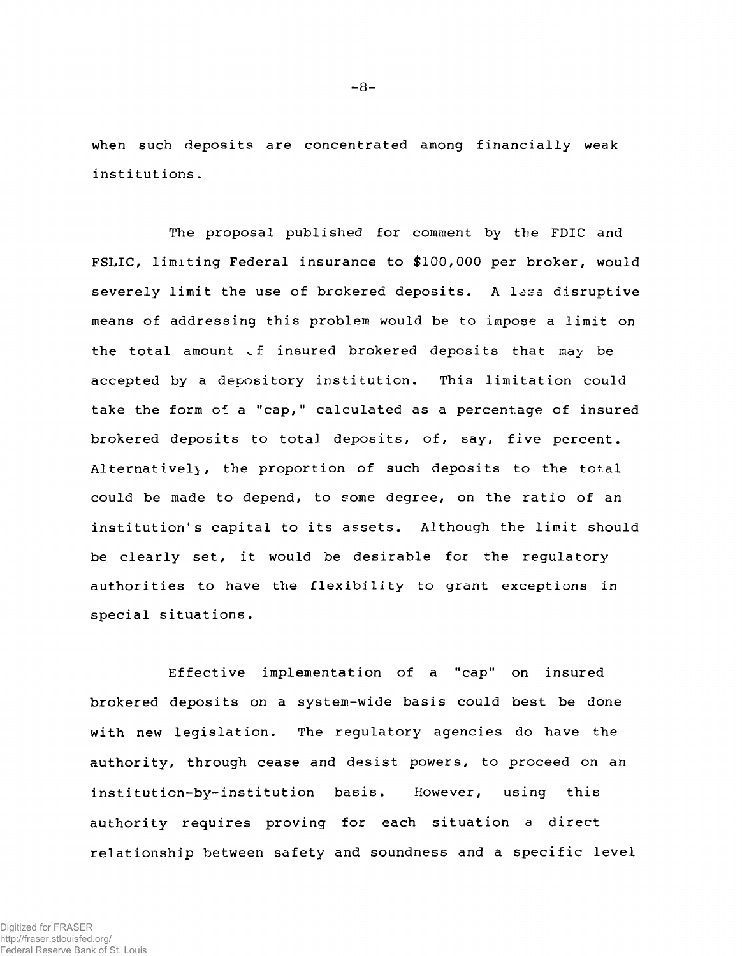**when such deposits are concentrated among financially weak institutions.**

**The proposal published for comment by the FDIC and FSLIC, limiting Federal insurance to \$100,000 per broker, would severely limit the use of brokered deposits. A l^:;s disruptive means of addressing this problem would be to impose a limit on** the total amount of insured brokered deposits that may be **accepted by a depository institution. This limitation could take the form oi a "cap," calculated as a percentage of insured brokered deposits to total deposits, of, say, five percent. Alternatively, the proportion of such deposits to the total could be made to depend, to some degree, on the ratio of an institution's capital to its assets. Although the limit should be clearly set, it would be desirable for the regulatory authorities to have the flexibility to grant exceptions in special situations.**

**Effective implementation of a "cap" on insured brokered deposits on a system-wide basis could best be done with new legislation. The regulatory agencies do have the authority, through cease and desist powers, to proceed on an institution-by-institution basis. However, using this authority requires proving for each situation a direct relationship between safety and soundness and a specific level**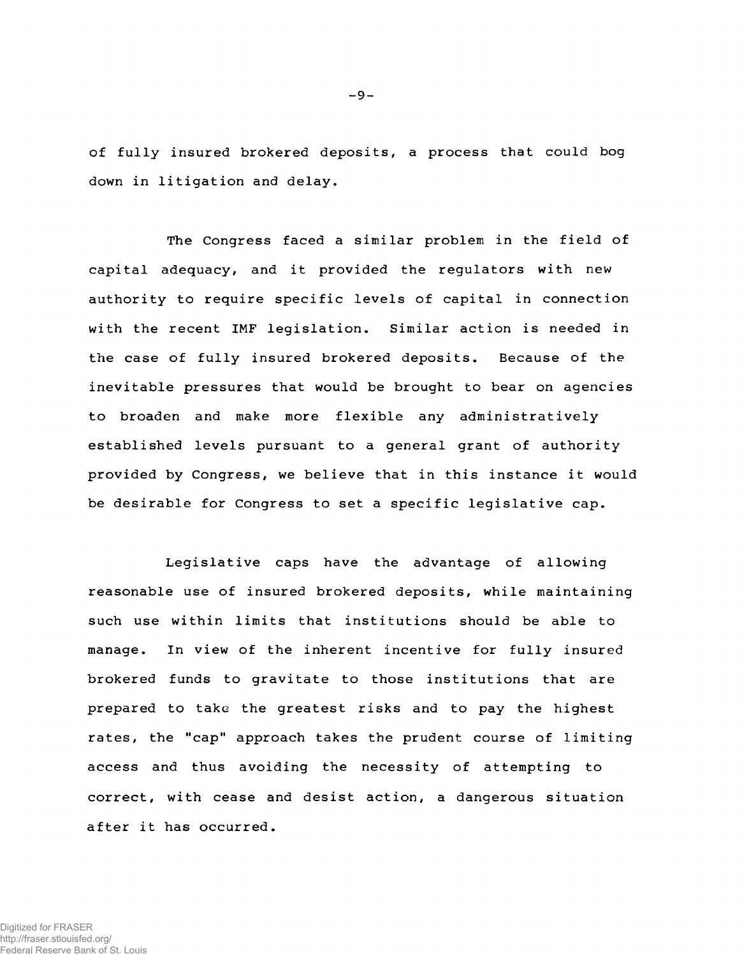**of fully insured brokered deposits, a process that could bog down in litigation and delay.**

**The Congress faced a similar problem in the field of capital adequacy, and it provided the regulators with new authority to require specific levels of capital in connection with the recent IMF legislation. Similar action is needed in the case of fully insured brokered deposits. Because of the inevitable pressures that would be brought to bear on agencies to broaden and make more flexible any administratively established levels pursuant to a general grant of authority provided by Congress, we believe that in this instance it would be desirable for Congress to set a specific legislative cap.**

**Legislative caps have the advantage of allowing reasonable use of insured brokered deposits, while maintaining such use within limits that institutions should be able to manage. In view of the inherent incentive for fully insured brokered funds to gravitate to those institutions that are prepared to take the greatest risks and to pay the highest rates, the "cap" approach takes the prudent course of limiting access and thus avoiding the necessity of attempting to correct, with cease and desist action, a dangerous situation after it has occurred.**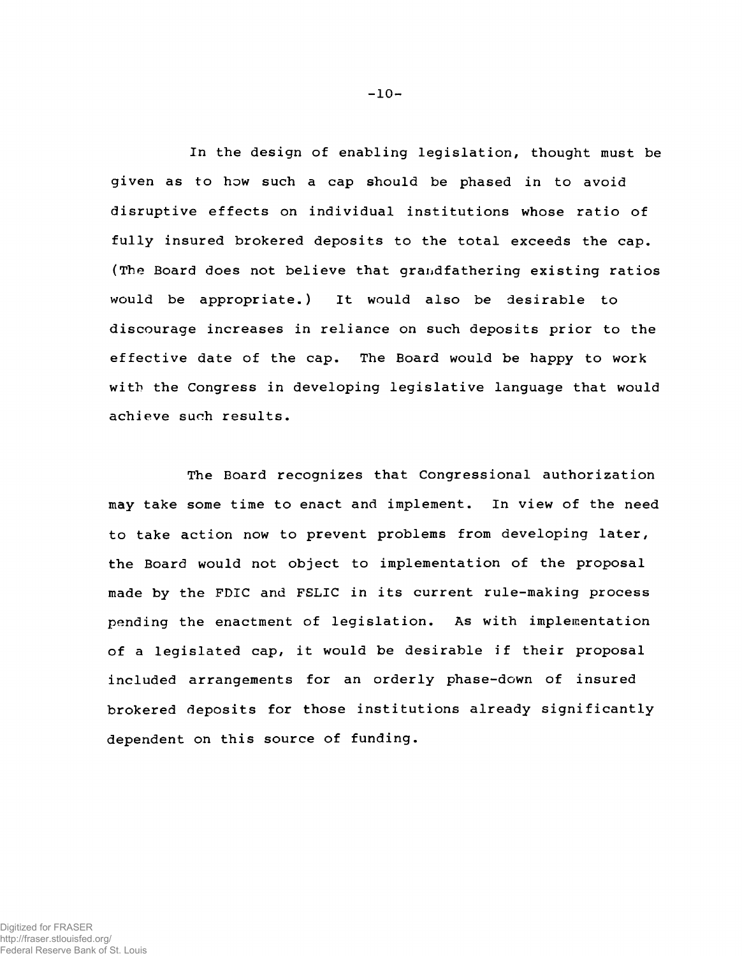**In the design of enabling legislation, thought must be given as to how such a cap should be phased in to avoid disruptive effects on individual institutions whose ratio of fully insured brokered deposits to the total exceeds the cap. (The Board does not believe that grandfathering existing ratios would be appropriate.) It would also be desirable to discourage increases in reliance on such deposits prior to the effective date of the cap. The Board would be happy to work with the Congress in developing legislative language that would achieve such results.**

**The Board recognizes that Congressional authorization may take some time to enact and implement. In view of the need to take action now to prevent problems from developing later, the Board would not object to implementation of the proposal made by the FDIC and FSLIC in its current rule-making process pending the enactment of legislation. As with implementation of a legislated cap, it would be desirable if their proposal included arrangements for an orderly phase-down of insured brokered deposits for those institutions already significantly dependent on this source of funding.**

**-10-**